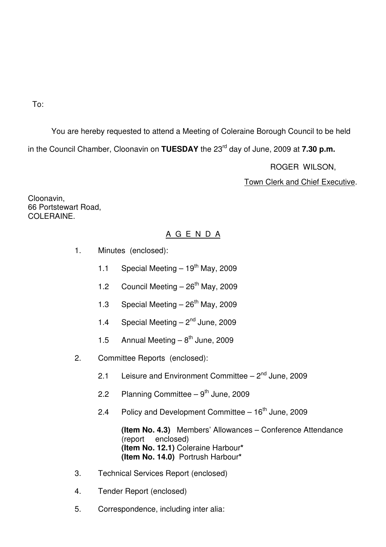To:

You are hereby requested to attend a Meeting of Coleraine Borough Council to be held in the Council Chamber, Cloonavin on **TUESDAY** the 23<sup>rd</sup> day of June, 2009 at **7.30 p.m.** 

ROGER WILSON,

Town Clerk and Chief Executive.

Cloonavin, 66 Portstewart Road, COLERAINE.

# A G E N D A

- 1. Minutes (enclosed):
	- 1.1 Special Meeting  $-19^{th}$  May, 2009
	- 1.2 Council Meeting  $-26<sup>th</sup>$  May, 2009
	- 1.3 Special Meeting  $-26<sup>th</sup>$  May, 2009
	- 1.4 Special Meeting  $-2<sup>nd</sup>$  June, 2009
	- 1.5 Annual Meeting  $-8^{th}$  June, 2009
- 2. Committee Reports (enclosed):
	- 2.1 Leisure and Environment Committee  $-2<sup>nd</sup>$  June, 2009
	- 2.2 Planning Committee  $9^{th}$  June, 2009
	- 2.4 Policy and Development Committee  $-16<sup>th</sup>$  June, 2009

**(Item No. 4.3)** Members' Allowances – Conference Attendance (report enclosed) **(Item No. 12.1)** Coleraine Harbour**\* (Item No. 14.0)** Portrush Harbour**\*** 

- 3. Technical Services Report (enclosed)
- 4. Tender Report (enclosed)
- 5. Correspondence, including inter alia: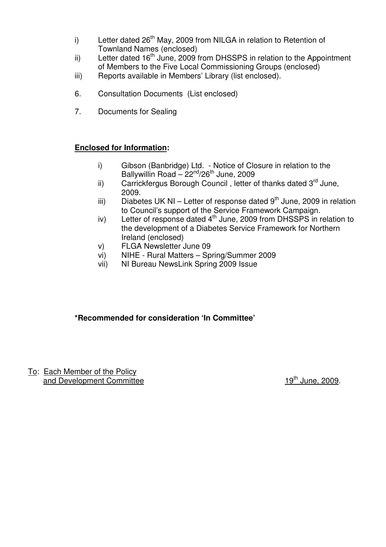- i) Letter dated  $26<sup>th</sup>$  May, 2009 from NILGA in relation to Retention of Townland Names (enclosed)
- ii) Letter dated  $16<sup>th</sup>$  June, 2009 from DHSSPS in relation to the Appointment of Members to the Five Local Commissioning Groups (enclosed)
- iii) Reports available in Members' Library (list enclosed).
- 6. Consultation Documents (List enclosed)
- 7. Documents for Sealing

# **Enclosed for Information:**

- i) Gibson (Banbridge) Ltd. Notice of Closure in relation to the Ballywillin Road –  $22<sup>nd</sup>/26<sup>th</sup>$  June, 2009
- ii) Carrickfergus Borough Council, letter of thanks dated 3<sup>rd</sup> June, 2009.
- iii) Diabetes UK NI Letter of response dated  $9<sup>th</sup>$  June, 2009 in relation to Council's support of the Service Framework Campaign.
- iv) Letter of response dated 4<sup>th</sup> June, 2009 from DHSSPS in relation to the development of a Diabetes Service Framework for Northern Ireland (enclosed)
- v) FLGA Newsletter June 09
- vi) NIHE Rural Matters Spring/Summer 2009
- vii) NI Bureau NewsLink Spring 2009 Issue

# **\*Recommended for consideration 'In Committee'**

To: Each Member of the Policy and Development Committee 19<sup>th</sup> June, 2009.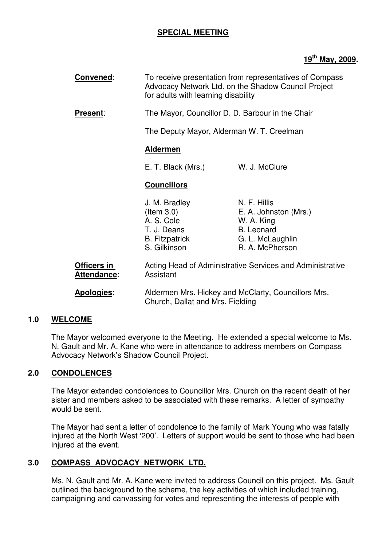# **SPECIAL MEETING**

# **19th May, 2009.**

| Convened:                                | To receive presentation from representatives of Compass<br>Advocacy Network Ltd. on the Shadow Council Project<br>for adults with learning disability             |                                                                                                                 |
|------------------------------------------|-------------------------------------------------------------------------------------------------------------------------------------------------------------------|-----------------------------------------------------------------------------------------------------------------|
| <b>Present:</b>                          | The Mayor, Councillor D. D. Barbour in the Chair                                                                                                                  |                                                                                                                 |
|                                          | The Deputy Mayor, Alderman W. T. Creelman                                                                                                                         |                                                                                                                 |
|                                          | <b>Aldermen</b>                                                                                                                                                   |                                                                                                                 |
|                                          | E. T. Black (Mrs.)                                                                                                                                                | W. J. McClure                                                                                                   |
|                                          | <b>Councillors</b>                                                                                                                                                |                                                                                                                 |
|                                          | J. M. Bradley<br>$($ ltem 3.0 $)$<br>A. S. Cole<br>T. J. Deans<br><b>B.</b> Fitzpatrick<br>S. Gilkinson                                                           | N. F. Hillis<br>E. A. Johnston (Mrs.)<br>W. A. King<br><b>B.</b> Leonard<br>G. L. McLaughlin<br>R. A. McPherson |
| <b>Officers in</b><br><b>Attendance:</b> | Acting Head of Administrative Services and Administrative<br>Assistant<br>Aldermen Mrs. Hickey and McClarty, Councillors Mrs.<br>Church, Dallat and Mrs. Fielding |                                                                                                                 |
| Apologies:                               |                                                                                                                                                                   |                                                                                                                 |

### **1.0 WELCOME**

The Mayor welcomed everyone to the Meeting. He extended a special welcome to Ms. N. Gault and Mr. A. Kane who were in attendance to address members on Compass Advocacy Network's Shadow Council Project.

### **2.0 CONDOLENCES**

The Mayor extended condolences to Councillor Mrs. Church on the recent death of her sister and members asked to be associated with these remarks. A letter of sympathy would be sent.

The Mayor had sent a letter of condolence to the family of Mark Young who was fatally injured at the North West '200'. Letters of support would be sent to those who had been injured at the event.

### **3.0 COMPASS ADVOCACY NETWORK LTD.**

Ms. N. Gault and Mr. A. Kane were invited to address Council on this project. Ms. Gault outlined the background to the scheme, the key activities of which included training, campaigning and canvassing for votes and representing the interests of people with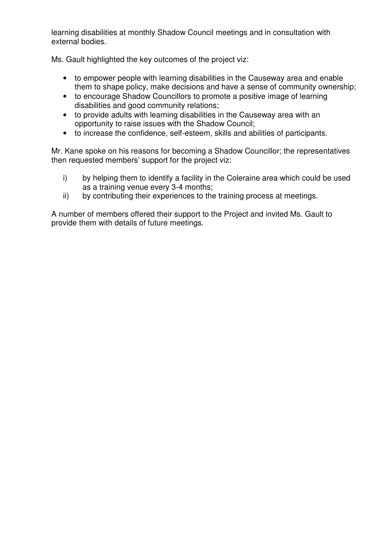learning disabilities at monthly Shadow Council meetings and in consultation with external bodies.

Ms. Gault highlighted the key outcomes of the project viz:

- to empower people with learning disabilities in the Causeway area and enable them to shape policy, make decisions and have a sense of community ownership;
- to encourage Shadow Councillors to promote a positive image of learning disabilities and good community relations;
- to provide adults with learning disabilities in the Causeway area with an opportunity to raise issues with the Shadow Council;
- to increase the confidence, self-esteem, skills and abilities of participants.

Mr. Kane spoke on his reasons for becoming a Shadow Councillor; the representatives then requested members' support for the project viz:

- i) by helping them to identify a facility in the Coleraine area which could be used as a training venue every 3-4 months;
- ii) by contributing their experiences to the training process at meetings.

A number of members offered their support to the Project and invited Ms. Gault to provide them with details of future meetings.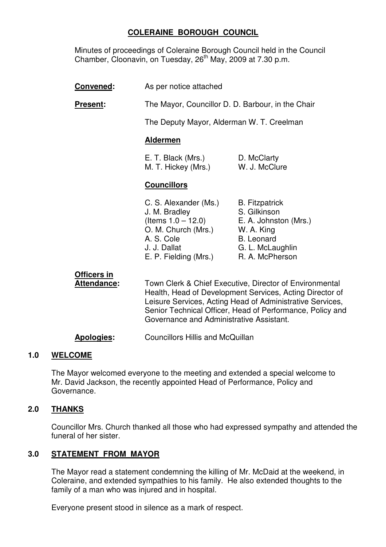# **COLERAINE BOROUGH COUNCIL**

Minutes of proceedings of Coleraine Borough Council held in the Council Chamber, Cloonavin, on Tuesday, 26<sup>th</sup> May, 2009 at 7.30 p.m.

- **Convened:** As per notice attached
- **Present:** The Mayor, Councillor D. D. Barbour, in the Chair

The Deputy Mayor, Alderman W. T. Creelman

### **Aldermen**

| E. T. Black (Mrs.)  | D. McClarty   |
|---------------------|---------------|
| M. T. Hickey (Mrs.) | W. J. McClure |

# **Councillors**

| C. S. Alexander (Ms.) | <b>B.</b> Fitzpatrick |
|-----------------------|-----------------------|
| J. M. Bradley         | S. Gilkinson          |
| (Items $1.0 - 12.0$ ) | E. A. Johnston (Mrs.) |
| O. M. Church (Mrs.)   | W. A. King            |
| A. S. Cole            | <b>B.</b> Leonard     |
| J. J. Dallat          | G. L. McLaughlin      |
| E. P. Fielding (Mrs.) | R. A. McPherson       |

# **Officers in**

Attendance: Town Clerk & Chief Executive, Director of Environmental Health, Head of Development Services, Acting Director of Leisure Services, Acting Head of Administrative Services, Senior Technical Officer, Head of Performance, Policy and Governance and Administrative Assistant.

**Apologies:** Councillors Hillis and McQuillan

# **1.0 WELCOME**

 The Mayor welcomed everyone to the meeting and extended a special welcome to Mr. David Jackson, the recently appointed Head of Performance, Policy and Governance.

# **2.0 THANKS**

 Councillor Mrs. Church thanked all those who had expressed sympathy and attended the funeral of her sister.

# **3.0 STATEMENT FROM MAYOR**

 The Mayor read a statement condemning the killing of Mr. McDaid at the weekend, in Coleraine, and extended sympathies to his family. He also extended thoughts to the family of a man who was injured and in hospital.

Everyone present stood in silence as a mark of respect.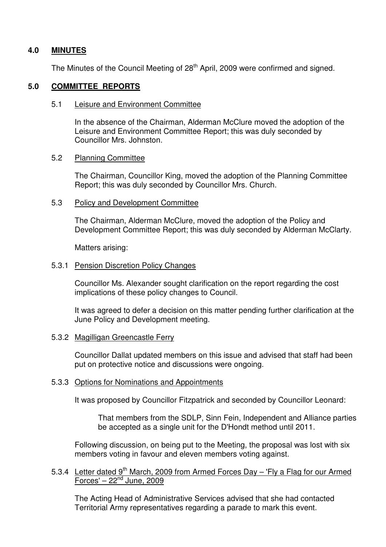### **4.0 MINUTES**

The Minutes of the Council Meeting of 28<sup>th</sup> April, 2009 were confirmed and signed.

### **5.0 COMMITTEE REPORTS**

#### 5.1 Leisure and Environment Committee

 In the absence of the Chairman, Alderman McClure moved the adoption of the Leisure and Environment Committee Report; this was duly seconded by Councillor Mrs. Johnston.

#### 5.2 Planning Committee

 The Chairman, Councillor King, moved the adoption of the Planning Committee Report; this was duly seconded by Councillor Mrs. Church.

#### 5.3 Policy and Development Committee

 The Chairman, Alderman McClure, moved the adoption of the Policy and Development Committee Report; this was duly seconded by Alderman McClarty.

Matters arising:

### 5.3.1 Pension Discretion Policy Changes

 Councillor Ms. Alexander sought clarification on the report regarding the cost implications of these policy changes to Council.

 It was agreed to defer a decision on this matter pending further clarification at the June Policy and Development meeting.

### 5.3.2 Magilligan Greencastle Ferry

 Councillor Dallat updated members on this issue and advised that staff had been put on protective notice and discussions were ongoing.

### 5.3.3 Options for Nominations and Appointments

It was proposed by Councillor Fitzpatrick and seconded by Councillor Leonard:

 That members from the SDLP, Sinn Fein, Independent and Alliance parties be accepted as a single unit for the D'Hondt method until 2011.

 Following discussion, on being put to the Meeting, the proposal was lost with six members voting in favour and eleven members voting against.

### 5.3.4 Letter dated  $9<sup>th</sup>$  March, 2009 from Armed Forces Day – 'Fly a Flag for our Armed  $\overline{\text{Forces}} - 22^{\text{nd}}$  June, 2009

 The Acting Head of Administrative Services advised that she had contacted Territorial Army representatives regarding a parade to mark this event.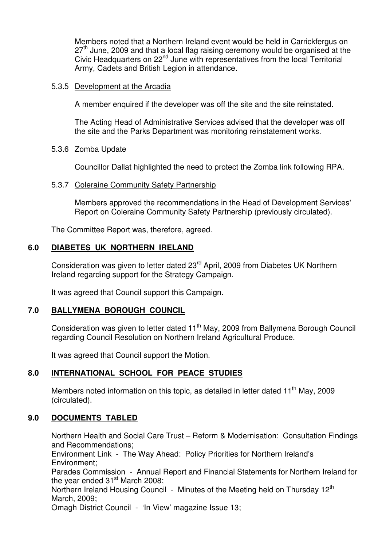Members noted that a Northern Ireland event would be held in Carrickfergus on  $27<sup>th</sup>$  June, 2009 and that a local flag raising ceremony would be organised at the Civic Headquarters on 22<sup>nd</sup> June with representatives from the local Territorial Army, Cadets and British Legion in attendance.

#### 5.3.5 Development at the Arcadia

A member enquired if the developer was off the site and the site reinstated.

 The Acting Head of Administrative Services advised that the developer was off the site and the Parks Department was monitoring reinstatement works.

#### 5.3.6 Zomba Update

Councillor Dallat highlighted the need to protect the Zomba link following RPA.

#### 5.3.7 Coleraine Community Safety Partnership

 Members approved the recommendations in the Head of Development Services' Report on Coleraine Community Safety Partnership (previously circulated).

The Committee Report was, therefore, agreed.

### **6.0 DIABETES UK NORTHERN IRELAND**

Consideration was given to letter dated 23<sup>rd</sup> April, 2009 from Diabetes UK Northern Ireland regarding support for the Strategy Campaign.

It was agreed that Council support this Campaign.

### **7.0 BALLYMENA BOROUGH COUNCIL**

Consideration was given to letter dated 11<sup>th</sup> May, 2009 from Ballymena Borough Council regarding Council Resolution on Northern Ireland Agricultural Produce.

It was agreed that Council support the Motion.

### **8.0 INTERNATIONAL SCHOOL FOR PEACE STUDIES**

Members noted information on this topic, as detailed in letter dated  $11<sup>th</sup>$  May, 2009 (circulated).

### **9.0 DOCUMENTS TABLED**

Northern Health and Social Care Trust – Reform & Modernisation: Consultation Findings and Recommendations;

Environment Link - The Way Ahead: Policy Priorities for Northern Ireland's Environment;

Parades Commission - Annual Report and Financial Statements for Northern Ireland for the year ended  $31<sup>st</sup>$  March 2008;

Northern Ireland Housing Council - Minutes of the Meeting held on Thursday 12<sup>th</sup> March, 2009;

Omagh District Council - 'In View' magazine Issue 13;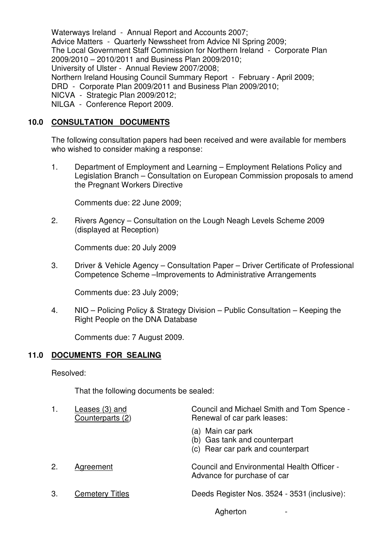Waterways Ireland - Annual Report and Accounts 2007; Advice Matters - Quarterly Newssheet from Advice NI Spring 2009; The Local Government Staff Commission for Northern Ireland - Corporate Plan 2009/2010 – 2010/2011 and Business Plan 2009/2010; University of Ulster - Annual Review 2007/2008; Northern Ireland Housing Council Summary Report - February - April 2009; DRD - Corporate Plan 2009/2011 and Business Plan 2009/2010; NICVA - Strategic Plan 2009/2012; NILGA - Conference Report 2009.

# **10.0 CONSULTATION DOCUMENTS**

 The following consultation papers had been received and were available for members who wished to consider making a response:

 1. Department of Employment and Learning – Employment Relations Policy and Legislation Branch – Consultation on European Commission proposals to amend the Pregnant Workers Directive

Comments due: 22 June 2009;

 2. Rivers Agency – Consultation on the Lough Neagh Levels Scheme 2009 (displayed at Reception)

Comments due: 20 July 2009

 3. Driver & Vehicle Agency – Consultation Paper – Driver Certificate of Professional Competence Scheme –Improvements to Administrative Arrangements

Comments due: 23 July 2009;

 4. NIO – Policing Policy & Strategy Division – Public Consultation – Keeping the Right People on the DNA Database

Comments due: 7 August 2009.

# **11.0 DOCUMENTS FOR SEALING**

Resolved:

That the following documents be sealed:

| Council and Michael Smith and Tom Spence -<br>Renewal of car park leases:              |
|----------------------------------------------------------------------------------------|
| (a) Main car park<br>(b) Gas tank and counterpart<br>(c) Rear car park and counterpart |
| <b>Council and Environmental Health Officer -</b><br>Advance for purchase of car       |
| Deeds Register Nos. 3524 - 3531 (inclusive):                                           |
|                                                                                        |

**Agherton**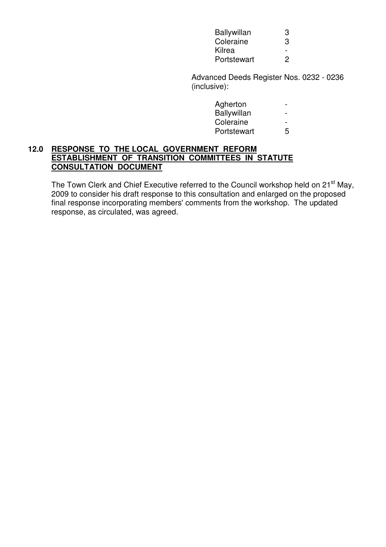| <b>Ballywillan</b> | З                |
|--------------------|------------------|
| Coleraine          | З                |
| Kilrea             |                  |
|                    | Portstewart<br>2 |

 Advanced Deeds Register Nos. 0232 - 0236 (inclusive):

| 5 |
|---|
|   |

### **12.0 RESPONSE TO THE LOCAL GOVERNMENT REFORM ESTABLISHMENT OF TRANSITION COMMITTEES IN STATUTE CONSULTATION DOCUMENT**

The Town Clerk and Chief Executive referred to the Council workshop held on 21<sup>st</sup> May, 2009 to consider his draft response to this consultation and enlarged on the proposed final response incorporating members' comments from the workshop. The updated response, as circulated, was agreed.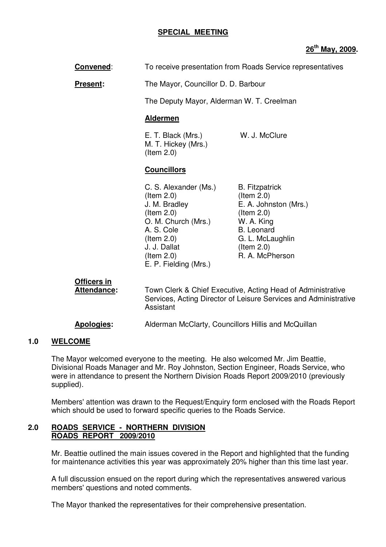#### **SPECIAL MEETING**

### **26th May, 2009.**

**Convened:** To receive presentation from Roads Service representatives

**Present:** The Mayor, Councillor D. D. Barbour

The Deputy Mayor, Alderman W. T. Creelman

#### **Aldermen**

E. T. Black (Mrs.) W. J. McClure M. T. Hickey (Mrs.) (Item 2.0)

### **Councillors**

C. S. Alexander (Ms.) B. Fitzpatrick (Item 2.0) (Item 2.0) J. M. Bradley E. A. Johnston (Mrs.) (Item 2.0) (Item 2.0) O. M. Church (Mrs.) W. A. King A. S. Cole B. Leonard (Item 2.0) G. L. McLaughlin J. J. Dallat (Item 2.0)  $($ ltem  $2.0)$  R. A. McPherson E. P. Fielding (Mrs.)

**Officers in**

Attendance: Town Clerk & Chief Executive, Acting Head of Administrative Services, Acting Director of Leisure Services and Administrative Assistant

**Apologies:** Alderman McClarty, Councillors Hillis and McQuillan

#### **1.0 WELCOME**

The Mayor welcomed everyone to the meeting. He also welcomed Mr. Jim Beattie, Divisional Roads Manager and Mr. Roy Johnston, Section Engineer, Roads Service, who were in attendance to present the Northern Division Roads Report 2009/2010 (previously supplied).

Members' attention was drawn to the Request/Enquiry form enclosed with the Roads Report which should be used to forward specific queries to the Roads Service.

#### **2.0 ROADS SERVICE - NORTHERN DIVISION ROADS REPORT 2009/2010**

Mr. Beattie outlined the main issues covered in the Report and highlighted that the funding for maintenance activities this year was approximately 20% higher than this time last year.

A full discussion ensued on the report during which the representatives answered various members' questions and noted comments.

The Mayor thanked the representatives for their comprehensive presentation.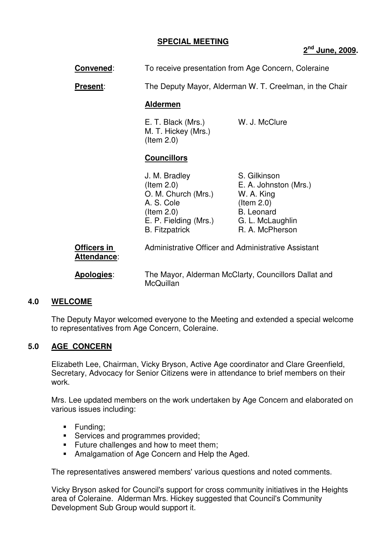## **SPECIAL MEETING**

# **2 nd June, 2009.**

**Convened:** To receive presentation from Age Concern, Coleraine

**Present:** The Deputy Mayor, Alderman W. T. Creelman, in the Chair

#### **Aldermen**

 E. T. Black (Mrs.) W. J. McClure M. T. Hickey (Mrs.) (Item 2.0)

# **Councillors**

McQuillan

| J. M. Bradley         | S. Gilkinson          |
|-----------------------|-----------------------|
| $($ ltem 2.0 $)$      | E. A. Johnston (Mrs.) |
| O. M. Church (Mrs.)   | W. A. King            |
| A. S. Cole            | $($ ltem 2.0 $)$      |
| $($ ltem 2.0)         | <b>B.</b> Leonard     |
| E. P. Fielding (Mrs.) | G. L. McLaughlin      |
| <b>B.</b> Fitzpatrick | R. A. McPherson       |
|                       |                       |
| .                     |                       |

| <b>Officers in</b> | Administrative Officer and Administrative Assistant  |  |
|--------------------|------------------------------------------------------|--|
| Attendance:        |                                                      |  |
| <b>Apologies:</b>  | The Mayor, Alderman McClarty, Councillors Dallat and |  |

# **4.0 WELCOME**

The Deputy Mayor welcomed everyone to the Meeting and extended a special welcome to representatives from Age Concern, Coleraine.

# **5.0 AGE CONCERN**

Elizabeth Lee, Chairman, Vicky Bryson, Active Age coordinator and Clare Greenfield, Secretary, Advocacy for Senior Citizens were in attendance to brief members on their work.

Mrs. Lee updated members on the work undertaken by Age Concern and elaborated on various issues including:

- **Funding**:
- **Services and programmes provided;**
- **Future challenges and how to meet them;**
- **Amalgamation of Age Concern and Help the Aged.**

The representatives answered members' various questions and noted comments.

Vicky Bryson asked for Council's support for cross community initiatives in the Heights area of Coleraine. Alderman Mrs. Hickey suggested that Council's Community Development Sub Group would support it.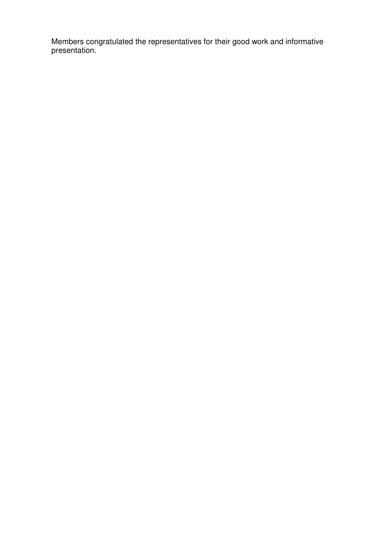Members congratulated the representatives for their good work and informative presentation.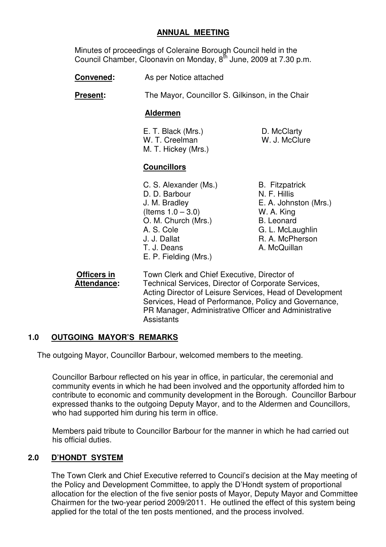## **ANNUAL MEETING**

 Minutes of proceedings of Coleraine Borough Council held in the Council Chamber, Cloonavin on Monday, 8<sup>th</sup> June, 2009 at 7.30 p.m.

**Convened:** As per Notice attached

**Present:** The Mayor, Councillor S. Gilkinson, in the Chair

### **Aldermen**

E. T. Black (Mrs.) D. McClarty<br>
W. T. Creelman M. J. McClure W. T. Creelman M. T. Hickey (Mrs.)

# **Councillors**

- C. S. Alexander (Ms.) B. Fitzpatrick D. D. Barbour N. F. Hillis J. M. Bradley E. A. Johnston (Mrs.)  $($ ltems  $1.0 - 3.0)$  W. A. King O. M. Church (Mrs.) B. Leonard A. S. Cole G. L. McLaughlin J. J. Dallat R. A. McPherson T. J. Deans **A. McQuillan** E. P. Fielding (Mrs.)
- 

**Officers in** Town Clerk and Chief Executive, Director of **Attendance:** Technical Services, Director of Corporate Services, Acting Director of Leisure Services, Head of Development Services, Head of Performance, Policy and Governance, PR Manager, Administrative Officer and Administrative **Assistants** 

# **1.0 OUTGOING MAYOR'S REMARKS**

The outgoing Mayor, Councillor Barbour, welcomed members to the meeting.

Councillor Barbour reflected on his year in office, in particular, the ceremonial and community events in which he had been involved and the opportunity afforded him to contribute to economic and community development in the Borough. Councillor Barbour expressed thanks to the outgoing Deputy Mayor, and to the Aldermen and Councillors, who had supported him during his term in office.

Members paid tribute to Councillor Barbour for the manner in which he had carried out his official duties.

# **2.0 D'HONDT SYSTEM**

The Town Clerk and Chief Executive referred to Council's decision at the May meeting of the Policy and Development Committee, to apply the D'Hondt system of proportional allocation for the election of the five senior posts of Mayor, Deputy Mayor and Committee Chairmen for the two-year period 2009/2011. He outlined the effect of this system being applied for the total of the ten posts mentioned, and the process involved.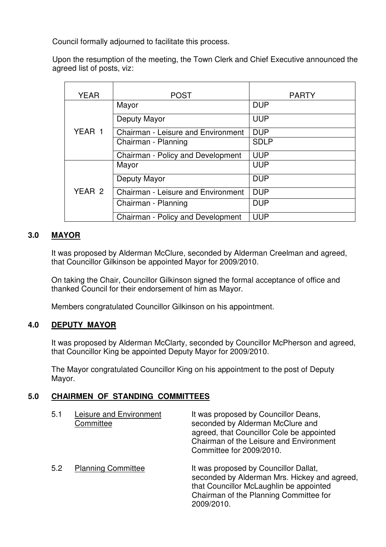Council formally adjourned to facilitate this process.

Upon the resumption of the meeting, the Town Clerk and Chief Executive announced the agreed list of posts, viz:

| <b>YEAR</b> | <b>POST</b>                               | <b>PARTY</b> |
|-------------|-------------------------------------------|--------------|
|             | Mayor                                     | <b>DUP</b>   |
|             | Deputy Mayor                              | <b>UUP</b>   |
| YEAR 1      | Chairman - Leisure and Environment        | <b>DUP</b>   |
|             | Chairman - Planning                       | <b>SDLP</b>  |
|             | Chairman - Policy and Development         | <b>UUP</b>   |
|             | Mayor                                     | <b>UUP</b>   |
|             | Deputy Mayor                              | <b>DUP</b>   |
| YEAR 2      | <b>Chairman - Leisure and Environment</b> | <b>DUP</b>   |
|             | Chairman - Planning                       | <b>DUP</b>   |
|             | Chairman - Policy and Development         | <b>UUP</b>   |

# **3.0 MAYOR**

It was proposed by Alderman McClure, seconded by Alderman Creelman and agreed, that Councillor Gilkinson be appointed Mayor for 2009/2010.

On taking the Chair, Councillor Gilkinson signed the formal acceptance of office and thanked Council for their endorsement of him as Mayor.

Members congratulated Councillor Gilkinson on his appointment.

# **4.0 DEPUTY MAYOR**

It was proposed by Alderman McClarty, seconded by Councillor McPherson and agreed, that Councillor King be appointed Deputy Mayor for 2009/2010.

The Mayor congratulated Councillor King on his appointment to the post of Deputy Mayor.

# **5.0 CHAIRMEN OF STANDING COMMITTEES**

| 5.1 | Leisure and Environment<br>Committee | It was proposed by Councillor Deans,<br>seconded by Alderman McClure and<br>agreed, that Councillor Cole be appointed<br>Chairman of the Leisure and Environment<br>Committee for 2009/2010. |
|-----|--------------------------------------|----------------------------------------------------------------------------------------------------------------------------------------------------------------------------------------------|
| 5.2 | <b>Planning Committee</b>            | It was proposed by Councillor Dallat,<br>seconded by Alderman Mrs. Hickey and agreed,<br>that Councillor McLaughlin be appointed<br>Chairman of the Planning Committee for<br>2009/2010.     |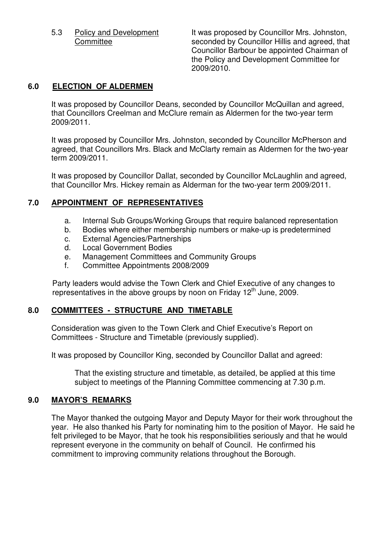5.3 Policy and Development It was proposed by Councillor Mrs. Johnston, Committee seconded by Councillor Hillis and agreed, that Councillor Barbour be appointed Chairman of the Policy and Development Committee for 2009/2010.

## **6.0 ELECTION OF ALDERMEN**

It was proposed by Councillor Deans, seconded by Councillor McQuillan and agreed, that Councillors Creelman and McClure remain as Aldermen for the two-year term 2009/2011.

It was proposed by Councillor Mrs. Johnston, seconded by Councillor McPherson and agreed, that Councillors Mrs. Black and McClarty remain as Aldermen for the two-year term 2009/2011.

It was proposed by Councillor Dallat, seconded by Councillor McLaughlin and agreed, that Councillor Mrs. Hickey remain as Alderman for the two-year term 2009/2011.

# **7.0 APPOINTMENT OF REPRESENTATIVES**

- a. Internal Sub Groups/Working Groups that require balanced representation
- b. Bodies where either membership numbers or make-up is predetermined
- c. External Agencies/Partnerships
- d. Local Government Bodies
- e. Management Committees and Community Groups
- f. Committee Appointments 2008/2009

Party leaders would advise the Town Clerk and Chief Executive of any changes to representatives in the above groups by noon on Friday  $12<sup>th</sup>$  June, 2009.

# **8.0 COMMITTEES - STRUCTURE AND TIMETABLE**

Consideration was given to the Town Clerk and Chief Executive's Report on Committees - Structure and Timetable (previously supplied).

It was proposed by Councillor King, seconded by Councillor Dallat and agreed:

That the existing structure and timetable, as detailed, be applied at this time subject to meetings of the Planning Committee commencing at 7.30 p.m.

### **9.0 MAYOR'S REMARKS**

The Mayor thanked the outgoing Mayor and Deputy Mayor for their work throughout the year. He also thanked his Party for nominating him to the position of Mayor. He said he felt privileged to be Mayor, that he took his responsibilities seriously and that he would represent everyone in the community on behalf of Council. He confirmed his commitment to improving community relations throughout the Borough.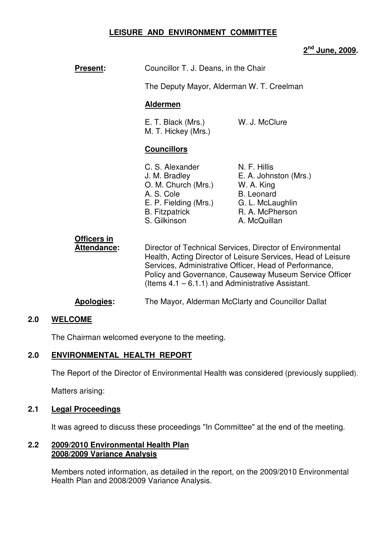# **LEISURE AND ENVIRONMENT COMMITTEE**

# **2 nd June, 2009.**

| <b>Present:</b>                          | Councillor T. J. Deans, in the Chair                                                                                                                                                                                                                                                                  |                                                                                                                                 |
|------------------------------------------|-------------------------------------------------------------------------------------------------------------------------------------------------------------------------------------------------------------------------------------------------------------------------------------------------------|---------------------------------------------------------------------------------------------------------------------------------|
|                                          | The Deputy Mayor, Alderman W. T. Creelman                                                                                                                                                                                                                                                             |                                                                                                                                 |
|                                          | <b>Aldermen</b>                                                                                                                                                                                                                                                                                       |                                                                                                                                 |
|                                          | E. T. Black (Mrs.)<br>M. T. Hickey (Mrs.)                                                                                                                                                                                                                                                             | W. J. McClure                                                                                                                   |
|                                          | <b>Councillors</b>                                                                                                                                                                                                                                                                                    |                                                                                                                                 |
|                                          | C. S. Alexander<br>J. M. Bradley<br>O. M. Church (Mrs.)<br>A. S. Cole<br>E. P. Fielding (Mrs.)<br><b>B.</b> Fitzpatrick<br>S. Gilkinson                                                                                                                                                               | N. F. Hillis<br>E. A. Johnston (Mrs.)<br>W. A. King<br><b>B.</b> Leonard<br>G. L. McLaughlin<br>R. A. McPherson<br>A. McQuillan |
| <b>Officers in</b><br><b>Attendance:</b> | Director of Technical Services, Director of Environmental<br>Health, Acting Director of Leisure Services, Head of Leisure<br>Services, Administrative Officer, Head of Performance,<br>Policy and Governance, Causeway Museum Service Officer<br>(Items $4.1 - 6.1.1$ ) and Administrative Assistant. |                                                                                                                                 |
| Apologies:                               | The Mayor, Alderman McClarty and Councillor Dallat                                                                                                                                                                                                                                                    |                                                                                                                                 |

# **2.0 WELCOME**

The Chairman welcomed everyone to the meeting.

### **2.0 ENVIRONMENTAL HEALTH REPORT**

The Report of the Director of Environmental Health was considered (previously supplied).

Matters arising:

## **2.1 Legal Proceedings**

It was agreed to discuss these proceedings "In Committee" at the end of the meeting.

### **2.2 2009/2010 Environmental Health Plan 2008/2009 Variance Analysis**

 Members noted information, as detailed in the report, on the 2009/2010 Environmental Health Plan and 2008/2009 Variance Analysis.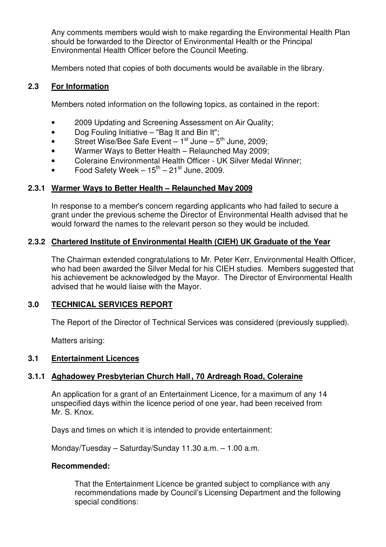Any comments members would wish to make regarding the Environmental Health Plan should be forwarded to the Director of Environmental Health or the Principal Environmental Health Officer before the Council Meeting.

Members noted that copies of both documents would be available in the library.

## **2.3 For Information**

Members noted information on the following topics, as contained in the report:

- 2009 Updating and Screening Assessment on Air Quality;
- Dog Fouling Initiative "Bag It and Bin It";
- Street Wise/Bee Safe Event  $-1^{st}$  June  $-5^{th}$  June, 2009;
- Warmer Ways to Better Health Relaunched May 2009;
- Coleraine Environmental Health Officer UK Silver Medal Winner;
- Food Safety Week  $-15^{th} 21^{st}$  June, 2009.

### **2.3.1 Warmer Ways to Better Health – Relaunched May 2009**

 In response to a member's concern regarding applicants who had failed to secure a grant under the previous scheme the Director of Environmental Health advised that he would forward the names to the relevant person so they would be included.

### **2.3.2 Chartered Institute of Environmental Health (CIEH) UK Graduate of the Year**

 The Chairman extended congratulations to Mr. Peter Kerr, Environmental Health Officer, who had been awarded the Silver Medal for his CIEH studies. Members suggested that his achievement be acknowledged by the Mayor. The Director of Environmental Health advised that he would liaise with the Mayor.

# **3.0 TECHNICAL SERVICES REPORT**

The Report of the Director of Technical Services was considered (previously supplied).

Matters arising:

### **3.1 Entertainment Licences**

# **3.1.1 Aghadowey Presbyterian Church Hall , 70 Ardreagh Road, Coleraine**

 An application for a grant of an Entertainment Licence, for a maximum of any 14 unspecified days within the licence period of one year, had been received from Mr. S. Knox.

Days and times on which it is intended to provide entertainment:

Monday/Tuesday – Saturday/Sunday 11.30 a.m. – 1.00 a.m.

### **Recommended:**

That the Entertainment Licence be granted subject to compliance with any recommendations made by Council's Licensing Department and the following special conditions: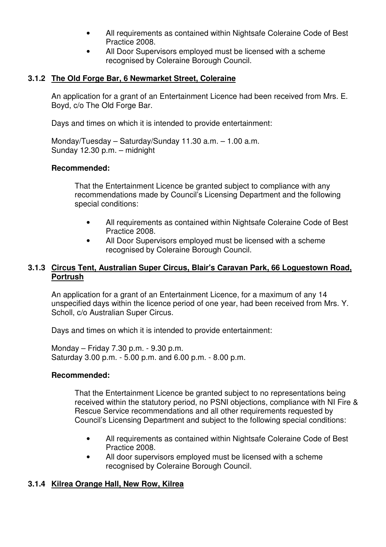- All requirements as contained within Nightsafe Coleraine Code of Best Practice 2008.
- All Door Supervisors employed must be licensed with a scheme recognised by Coleraine Borough Council.

# **3.1.2 The Old Forge Bar, 6 Newmarket Street, Coleraine**

 An application for a grant of an Entertainment Licence had been received from Mrs. E. Boyd, c/o The Old Forge Bar.

Days and times on which it is intended to provide entertainment:

 Monday/Tuesday – Saturday/Sunday 11.30 a.m. – 1.00 a.m. Sunday 12.30 p.m. – midnight

### **Recommended:**

That the Entertainment Licence be granted subject to compliance with any recommendations made by Council's Licensing Department and the following special conditions:

- All requirements as contained within Nightsafe Coleraine Code of Best Practice 2008.
- All Door Supervisors employed must be licensed with a scheme recognised by Coleraine Borough Council.

# **3.1.3 Circus Tent, Australian Super Circus, Blair's Caravan Park, 66 Loguestown Road, Portrush**

 An application for a grant of an Entertainment Licence, for a maximum of any 14 unspecified days within the licence period of one year, had been received from Mrs. Y. Scholl, c/o Australian Super Circus.

Days and times on which it is intended to provide entertainment:

Monday – Friday 7.30 p.m. - 9.30 p.m. Saturday 3.00 p.m. - 5.00 p.m. and 6.00 p.m. - 8.00 p.m.

# **Recommended:**

 That the Entertainment Licence be granted subject to no representations being received within the statutory period, no PSNI objections, compliance with NI Fire & Rescue Service recommendations and all other requirements requested by Council's Licensing Department and subject to the following special conditions:

- All requirements as contained within Nightsafe Coleraine Code of Best Practice 2008.
- All door supervisors employed must be licensed with a scheme recognised by Coleraine Borough Council.

# **3.1.4 Kilrea Orange Hall, New Row, Kilrea**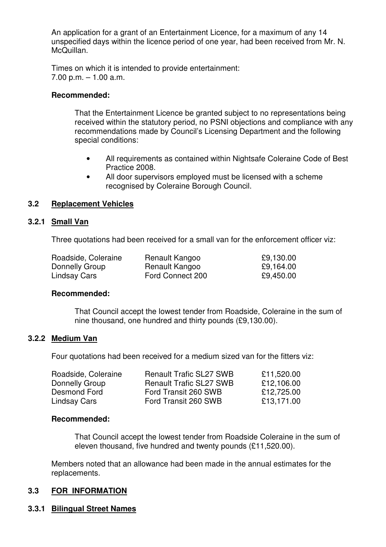An application for a grant of an Entertainment Licence, for a maximum of any 14 unspecified days within the licence period of one year, had been received from Mr. N. McQuillan.

Times on which it is intended to provide entertainment:  $7.00$  p.m.  $-1.00$  a.m.

#### **Recommended:**

 That the Entertainment Licence be granted subject to no representations being received within the statutory period, no PSNI objections and compliance with any recommendations made by Council's Licensing Department and the following special conditions:

- All requirements as contained within Nightsafe Coleraine Code of Best Practice 2008.
- All door supervisors employed must be licensed with a scheme recognised by Coleraine Borough Council.

### **3.2 Replacement Vehicles**

#### **3.2.1 Small Van**

Three quotations had been received for a small van for the enforcement officer viz:

| Roadside, Coleraine | Renault Kangoo   | £9,130.00 |
|---------------------|------------------|-----------|
| Donnelly Group      | Renault Kangoo   | £9,164.00 |
| Lindsay Cars        | Ford Connect 200 | £9,450.00 |

#### **Recommended:**

 That Council accept the lowest tender from Roadside, Coleraine in the sum of nine thousand, one hundred and thirty pounds (£9,130.00).

#### **3.2.2 Medium Van**

Four quotations had been received for a medium sized van for the fitters viz:

| Roadside, Coleraine | <b>Renault Trafic SL27 SWB</b> | £11,520.00 |
|---------------------|--------------------------------|------------|
| Donnelly Group      | <b>Renault Trafic SL27 SWB</b> | £12,106.00 |
| Desmond Ford        | Ford Transit 260 SWB           | £12,725.00 |
| Lindsay Cars        | Ford Transit 260 SWB           | £13,171.00 |

#### **Recommended:**

 That Council accept the lowest tender from Roadside Coleraine in the sum of eleven thousand, five hundred and twenty pounds (£11,520.00).

 Members noted that an allowance had been made in the annual estimates for the replacements.

### **3.3 FOR INFORMATION**

### **3.3.1 Bilingual Street Names**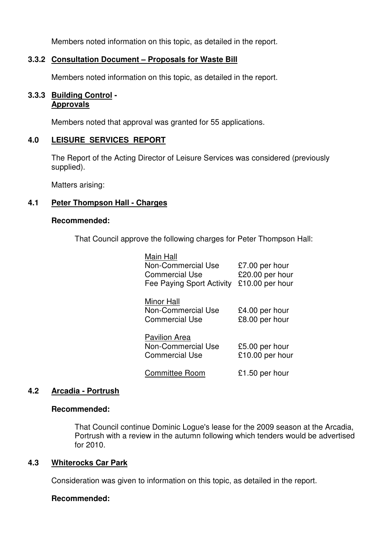Members noted information on this topic, as detailed in the report.

## **3.3.2 Consultation Document – Proposals for Waste Bill**

Members noted information on this topic, as detailed in the report.

### **3.3.3 Building Control - Approvals**

Members noted that approval was granted for 55 applications.

### **4.0 LEISURE SERVICES REPORT**

 The Report of the Acting Director of Leisure Services was considered (previously supplied).

Matters arising:

### **4.1 Peter Thompson Hall - Charges**

#### **Recommended:**

That Council approve the following charges for Peter Thompson Hall:

| Main Hall<br><b>Non-Commercial Use</b><br><b>Commercial Use</b><br>Fee Paying Sport Activity | £7.00 per hour<br>£20.00 per hour<br>£10.00 per hour |
|----------------------------------------------------------------------------------------------|------------------------------------------------------|
| <b>Minor Hall</b><br>Non-Commercial Use<br><b>Commercial Use</b>                             | £4.00 per hour<br>£8.00 per hour                     |
| <b>Pavilion Area</b><br>Non-Commercial Use<br><b>Commercial Use</b>                          | £5.00 per hour<br>£10.00 per hour                    |
| <b>Committee Room</b>                                                                        | £1.50 per hour                                       |

### **4.2 Arcadia - Portrush**

#### **Recommended:**

 That Council continue Dominic Logue's lease for the 2009 season at the Arcadia, Portrush with a review in the autumn following which tenders would be advertised for 2010.

### **4.3 Whiterocks Car Park**

Consideration was given to information on this topic, as detailed in the report.

### **Recommended:**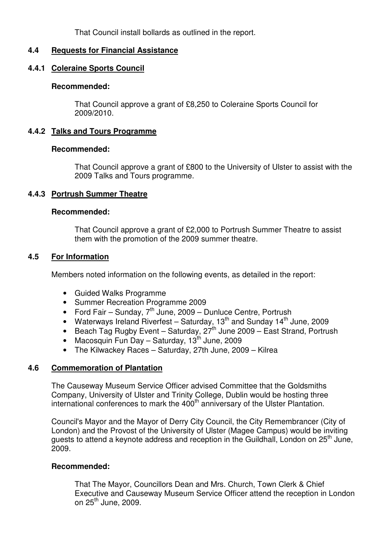That Council install bollards as outlined in the report.

### **4.4 Requests for Financial Assistance**

### **4.4.1 Coleraine Sports Council**

#### **Recommended:**

 That Council approve a grant of £8,250 to Coleraine Sports Council for 2009/2010.

### **4.4.2 Talks and Tours Programme**

#### **Recommended:**

 That Council approve a grant of £800 to the University of Ulster to assist with the 2009 Talks and Tours programme.

### **4.4.3 Portrush Summer Theatre**

#### **Recommended:**

That Council approve a grant of £2,000 to Portrush Summer Theatre to assist them with the promotion of the 2009 summer theatre.

### **4.5 For Information**

Members noted information on the following events, as detailed in the report:

- Guided Walks Programme
- Summer Recreation Programme 2009
- Ford Fair Sunday,  $7<sup>th</sup>$  June, 2009 Dunluce Centre, Portrush
- Waterways Ireland Riverfest Saturday,  $13<sup>th</sup>$  and Sunday  $14<sup>th</sup>$  June, 2009
- Beach Tag Rugby Event Saturday,  $27<sup>th</sup>$  June 2009 East Strand, Portrush
- Macosquin Fun Day Saturday, 13<sup>th</sup> June, 2009
- The Kilwackey Races Saturday, 27th June, 2009 Kilrea

### **4.6 Commemoration of Plantation**

 The Causeway Museum Service Officer advised Committee that the Goldsmiths Company, University of Ulster and Trinity College, Dublin would be hosting three international conferences to mark the  $400<sup>th</sup>$  anniversary of the Ulster Plantation.

 Council's Mayor and the Mayor of Derry City Council, the City Remembrancer (City of London) and the Provost of the University of Ulster (Magee Campus) would be inviting guests to attend a keynote address and reception in the Guildhall, London on 25<sup>th</sup> June, 2009.

### **Recommended:**

 That The Mayor, Councillors Dean and Mrs. Church, Town Clerk & Chief Executive and Causeway Museum Service Officer attend the reception in London on  $25<sup>th</sup>$  June, 2009.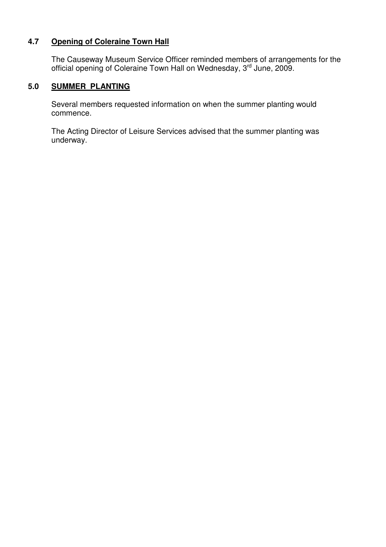# **4.7 Opening of Coleraine Town Hall**

The Causeway Museum Service Officer reminded members of arrangements for the official opening of Coleraine Town Hall on Wednesday, 3<sup>rd</sup> June, 2009.

# **5.0 SUMMER PLANTING**

 Several members requested information on when the summer planting would commence.

 The Acting Director of Leisure Services advised that the summer planting was underway.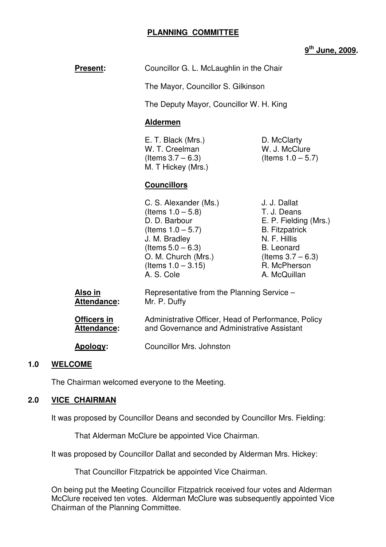### **PLANNING COMMITTEE**

## **9 th June, 2009.**

|     | <b>Present:</b>                   | Councillor G. L. McLaughlin in the Chair                                                                                                                                                      |                                                                                                                                                                            |
|-----|-----------------------------------|-----------------------------------------------------------------------------------------------------------------------------------------------------------------------------------------------|----------------------------------------------------------------------------------------------------------------------------------------------------------------------------|
|     |                                   | The Mayor, Councillor S. Gilkinson                                                                                                                                                            |                                                                                                                                                                            |
|     |                                   | The Deputy Mayor, Councillor W. H. King                                                                                                                                                       |                                                                                                                                                                            |
|     |                                   | <b>Aldermen</b>                                                                                                                                                                               |                                                                                                                                                                            |
|     |                                   | E. T. Black (Mrs.)<br>W. T. Creelman<br>(Items $3.7 - 6.3$ )<br>M. T Hickey (Mrs.)                                                                                                            | D. McClarty<br>W. J. McClure<br>(Items $1.0 - 5.7$ )                                                                                                                       |
|     |                                   | <b>Councillors</b>                                                                                                                                                                            |                                                                                                                                                                            |
|     |                                   | C. S. Alexander (Ms.)<br>(Items $1.0 - 5.8$ )<br>D. D. Barbour<br>(Items $1.0 - 5.7$ )<br>J. M. Bradley<br>(Items $5.0 - 6.3$ )<br>O. M. Church (Mrs.)<br>(Items $1.0 - 3.15$ )<br>A. S. Cole | J. J. Dallat<br>T. J. Deans<br>E. P. Fielding (Mrs.)<br><b>B.</b> Fitzpatrick<br>N. F. Hillis<br><b>B.</b> Leonard<br>(Items $3.7 - 6.3$ )<br>R. McPherson<br>A. McQuillan |
|     | Also in<br><b>Attendance:</b>     | Representative from the Planning Service -<br>Mr. P. Duffy                                                                                                                                    |                                                                                                                                                                            |
|     | <b>Officers in</b><br>Attendance: | Administrative Officer, Head of Performance, Policy<br>and Governance and Administrative Assistant                                                                                            |                                                                                                                                                                            |
|     | Apology:                          | <b>Councillor Mrs. Johnston</b>                                                                                                                                                               |                                                                                                                                                                            |
| 1 N | WELCOME                           |                                                                                                                                                                                               |                                                                                                                                                                            |

### **1.0 WELCOME**

The Chairman welcomed everyone to the Meeting.

#### **2.0 VICE CHAIRMAN**

It was proposed by Councillor Deans and seconded by Councillor Mrs. Fielding:

That Alderman McClure be appointed Vice Chairman.

It was proposed by Councillor Dallat and seconded by Alderman Mrs. Hickey:

That Councillor Fitzpatrick be appointed Vice Chairman.

 On being put the Meeting Councillor Fitzpatrick received four votes and Alderman McClure received ten votes. Alderman McClure was subsequently appointed Vice Chairman of the Planning Committee.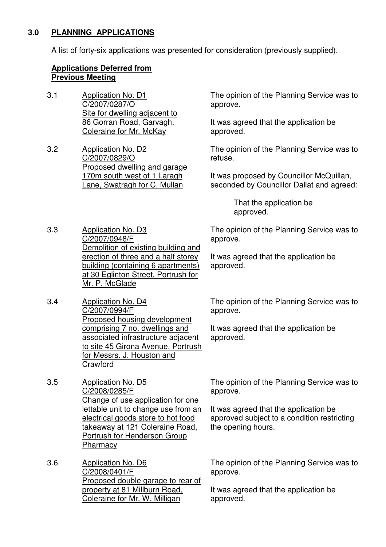# **3.0 PLANNING APPLICATIONS**

A list of forty-six applications was presented for consideration (previously supplied).

#### **Applications Deferred from Previous Meeting**

- 3.1 Application No. D1 C/2007/0287/O Site for dwelling adjacent to 86 Gorran Road, Garvagh, Coleraine for Mr. McKay
- 3.2 Application No. D2 C/2007/0829/O Proposed dwelling and garage 170m south west of 1 Laragh Lane, Swatragh for C. Mullan

The opinion of the Planning Service was to approve.

It was agreed that the application be approved.

The opinion of the Planning Service was to refuse.

It was proposed by Councillor McQuillan, seconded by Councillor Dallat and agreed:

> That the application be approved.

approve.

3.3 Application No. D3 C/2007/0948/F Demolition of existing building and erection of three and a half storey building (containing 6 apartments) at 30 Eglinton Street, Portrush for Mr. P. McGlade

3.4 Application No. D4 C/2007/0994/F Proposed housing development comprising 7 no. dwellings and associated infrastructure adjacent to site 45 Girona Avenue, Portrush for Messrs. J. Houston and **Crawford** 

3.5 Application No. D5 C/2008/0285/F Change of use application for one lettable unit to change use from an electrical goods store to hot food takeaway at 121 Coleraine Road, Portrush for Henderson Group **Pharmacy** 

3.6 Application No. D6 C/2008/0401/F Proposed double garage to rear of property at 81 Millburn Road, Coleraine for Mr. W. Milligan

It was agreed that the application be approved.

The opinion of the Planning Service was to

The opinion of the Planning Service was to approve.

It was agreed that the application be approved.

The opinion of the Planning Service was to approve.

It was agreed that the application be approved subject to a condition restricting the opening hours.

The opinion of the Planning Service was to approve.

It was agreed that the application be approved.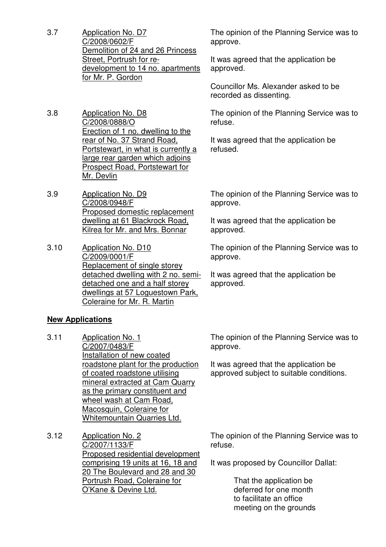- 3.7 Application No. D7 C/2008/0602/F Demolition of 24 and 26 Princess Street, Portrush for redevelopment to 14 no. apartments for Mr. P. Gordon
- 3.8 Application No. D8 C/2008/0888/O Erection of 1 no. dwelling to the rear of No. 37 Strand Road, Portstewart, in what is currently a large rear garden which adjoins Prospect Road, Portstewart for Mr. Devlin
- 3.9 Application No. D9 C/2008/0948/F Proposed domestic replacement dwelling at 61 Blackrock Road, Kilrea for Mr. and Mrs. Bonnar
- 3.10 Application No. D10 C/2009/0001/F Replacement of single storey detached dwelling with 2 no. semidetached one and a half storey dwellings at 57 Loguestown Park, Coleraine for Mr. R. Martin

# **New Applications**

- 3.11 Application No. 1 C/2007/0483/F Installation of new coated roadstone plant for the production of coated roadstone utilising mineral extracted at Cam Quarry as the primary constituent and wheel wash at Cam Road, Macosquin, Coleraine for Whitemountain Quarries Ltd.
- 3.12 Application No. 2 C/2007/1133/F Proposed residential development comprising 19 units at 16, 18 and 20 The Boulevard and 28 and 30 Portrush Road, Coleraine for O'Kane & Devine Ltd.

The opinion of the Planning Service was to approve.

It was agreed that the application be approved.

Councillor Ms. Alexander asked to be recorded as dissenting.

The opinion of the Planning Service was to refuse.

It was agreed that the application be refused.

The opinion of the Planning Service was to approve.

It was agreed that the application be approved.

The opinion of the Planning Service was to approve.

It was agreed that the application be approved.

The opinion of the Planning Service was to approve.

It was agreed that the application be approved subject to suitable conditions.

The opinion of the Planning Service was to refuse.

It was proposed by Councillor Dallat:

 That the application be deferred for one month to facilitate an office meeting on the grounds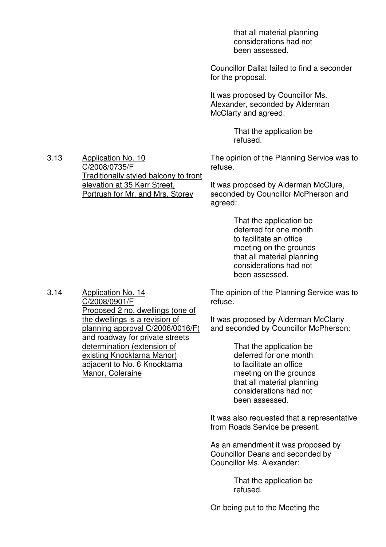that all material planning considerations had not been assessed.

Councillor Dallat failed to find a seconder for the proposal.

It was proposed by Councillor Ms. Alexander, seconded by Alderman McClarty and agreed:

> That the application be refused.

The opinion of the Planning Service was to refuse.

It was proposed by Alderman McClure, seconded by Councillor McPherson and agreed:

> That the application be deferred for one month to facilitate an office meeting on the grounds that all material planning considerations had not been assessed.

The opinion of the Planning Service was to refuse.

It was proposed by Alderman McClarty and seconded by Councillor McPherson:

> That the application be deferred for one month to facilitate an office meeting on the grounds that all material planning considerations had not been assessed.

It was also requested that a representative from Roads Service be present.

As an amendment it was proposed by Councillor Deans and seconded by Councillor Ms. Alexander:

> That the application be refused.

On being put to the Meeting the

3.13 Application No. 10 C/2008/0735/F Traditionally styled balcony to front elevation at 35 Kerr Street, Portrush for Mr. and Mrs. Storey

3.14 Application No. 14 C/2008/0901/F Proposed 2 no. dwellings (one of the dwellings is a revision of planning approval C/2006/0016/F) and roadway for private streets determination (extension of existing Knocktarna Manor) adjacent to No. 6 Knocktarna Manor, Coleraine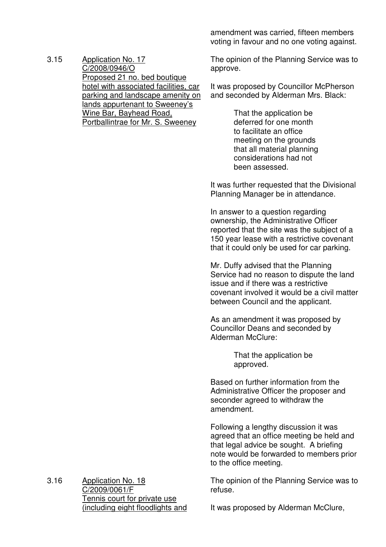3.15 Application No. 17 C/2008/0946/O Proposed 21 no. bed boutique hotel with associated facilities, car parking and landscape amenity on lands appurtenant to Sweeney's Wine Bar, Bayhead Road, Portballintrae for Mr. S. Sweeney

amendment was carried, fifteen members voting in favour and no one voting against.

The opinion of the Planning Service was to approve.

It was proposed by Councillor McPherson and seconded by Alderman Mrs. Black:

> That the application be deferred for one month to facilitate an office meeting on the grounds that all material planning considerations had not been assessed.

It was further requested that the Divisional Planning Manager be in attendance.

In answer to a question regarding ownership, the Administrative Officer reported that the site was the subject of a 150 year lease with a restrictive covenant that it could only be used for car parking.

Mr. Duffy advised that the Planning Service had no reason to dispute the land issue and if there was a restrictive covenant involved it would be a civil matter between Council and the applicant.

As an amendment it was proposed by Councillor Deans and seconded by Alderman McClure:

> That the application be approved.

Based on further information from the Administrative Officer the proposer and seconder agreed to withdraw the amendment.

Following a lengthy discussion it was agreed that an office meeting be held and that legal advice be sought. A briefing note would be forwarded to members prior to the office meeting.

The opinion of the Planning Service was to refuse.

3.16 Application No. 18 C/2009/0061/F Tennis court for private use (including eight floodlights and

It was proposed by Alderman McClure,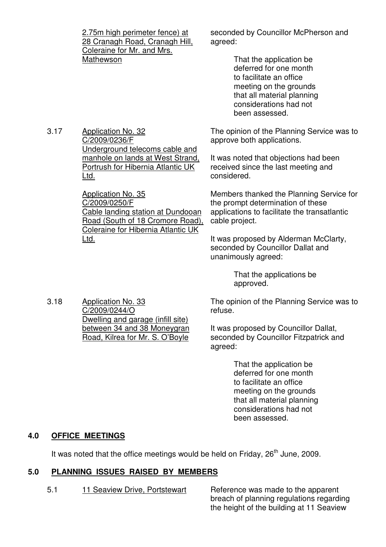2.75m high perimeter fence) at 28 Cranagh Road, Cranagh Hill, Coleraine for Mr. and Mrs. Mathewson

seconded by Councillor McPherson and agreed:

> That the application be deferred for one month to facilitate an office meeting on the grounds that all material planning considerations had not been assessed.

The opinion of the Planning Service was to approve both applications.

It was noted that objections had been received since the last meeting and considered.

Members thanked the Planning Service for the prompt determination of these applications to facilitate the transatlantic cable project.

It was proposed by Alderman McClarty, seconded by Councillor Dallat and unanimously agreed:

> That the applications be approved.

The opinion of the Planning Service was to refuse.

It was proposed by Councillor Dallat, seconded by Councillor Fitzpatrick and agreed:

> That the application be deferred for one month to facilitate an office meeting on the grounds that all material planning considerations had not been assessed.

# **4.0 OFFICE MEETINGS**

It was noted that the office meetings would be held on Friday,  $26<sup>th</sup>$  June, 2009.

# **5.0 PLANNING ISSUES RAISED BY MEMBERS**

5.1 11 Seaview Drive, Portstewart Reference was made to the apparent

breach of planning regulations regarding the height of the building at 11 Seaview

3.18 Application No. 33 C/2009/0244/O Dwelling and garage (infill site) between 34 and 38 Moneygran Road, Kilrea for Mr. S. O'Boyle

# C/2009/0236/F Underground telecoms cable and manhole on lands at West Strand, Portrush for Hibernia Atlantic UK Ltd.

Application No. 35 C/2009/0250/F Cable landing station at Dundooan Road (South of 18 Cromore Road), Coleraine for Hibernia Atlantic UK Ltd.

3.17 Application No. 32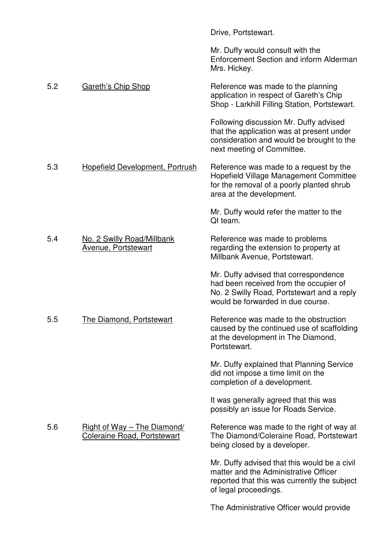|     |                                                                   | Drive, Portstewart.                                                                                                                                                |
|-----|-------------------------------------------------------------------|--------------------------------------------------------------------------------------------------------------------------------------------------------------------|
|     |                                                                   | Mr. Duffy would consult with the<br>Enforcement Section and inform Alderman<br>Mrs. Hickey.                                                                        |
| 5.2 | <b>Gareth's Chip Shop</b>                                         | Reference was made to the planning<br>application in respect of Gareth's Chip<br>Shop - Larkhill Filling Station, Portstewart.                                     |
|     |                                                                   | Following discussion Mr. Duffy advised<br>that the application was at present under<br>consideration and would be brought to the<br>next meeting of Committee.     |
| 5.3 | <b>Hopefield Development, Portrush</b>                            | Reference was made to a request by the<br>Hopefield Village Management Committee<br>for the removal of a poorly planted shrub<br>area at the development.          |
|     |                                                                   | Mr. Duffy would refer the matter to the<br>QI team.                                                                                                                |
| 5.4 | No. 2 Swilly Road/Millbank<br><b>Avenue, Portstewart</b>          | Reference was made to problems<br>regarding the extension to property at<br>Millbank Avenue, Portstewart.                                                          |
|     |                                                                   | Mr. Duffy advised that correspondence<br>had been received from the occupier of<br>No. 2 Swilly Road, Portstewart and a reply<br>would be forwarded in due course. |
| 5.5 | The Diamond, Portstewart                                          | Reference was made to the obstruction<br>caused by the continued use of scaffolding<br>at the development in The Diamond,<br>Portstewart.                          |
|     |                                                                   | Mr. Duffy explained that Planning Service<br>did not impose a time limit on the<br>completion of a development.                                                    |
|     |                                                                   | It was generally agreed that this was<br>possibly an issue for Roads Service.                                                                                      |
| 5.6 | Right of Way - The Diamond/<br><b>Coleraine Road, Portstewart</b> | Reference was made to the right of way at<br>The Diamond/Coleraine Road, Portstewart<br>being closed by a developer.                                               |
|     |                                                                   | Mr. Duffy advised that this would be a civil<br>matter and the Administrative Officer<br>reported that this was currently the subject<br>of legal proceedings.     |
|     |                                                                   | The Administrative Officer would provide                                                                                                                           |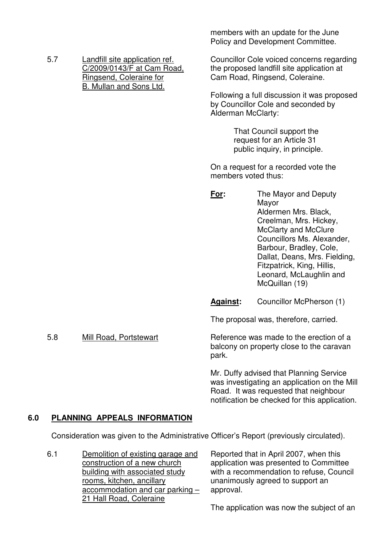| 5.7 | Landfill site application ref. |
|-----|--------------------------------|
|     | C/2009/0143/F at Cam Road,     |
|     | Ringsend, Coleraine for        |
|     | B. Mullan and Sons Ltd.        |

members with an update for the June Policy and Development Committee.

Councillor Cole voiced concerns regarding the proposed landfill site application at Cam Road, Ringsend, Coleraine.

Following a full discussion it was proposed by Councillor Cole and seconded by Alderman McClarty:

> That Council support the request for an Article 31 public inquiry, in principle.

On a request for a recorded vote the members voted thus:

**For:** The Mayor and Deputy Mayor Aldermen Mrs. Black, Creelman, Mrs. Hickey, McClarty and McClure Councillors Ms. Alexander, Barbour, Bradley, Cole, Dallat, Deans, Mrs. Fielding, Fitzpatrick, King, Hillis, Leonard, McLaughlin and McQuillan (19)

Against: Councillor McPherson (1)

The proposal was, therefore, carried.

5.8 Mill Road, Portstewart Reference was made to the erection of a balcony on property close to the caravan park.

> Mr. Duffy advised that Planning Service was investigating an application on the Mill Road. It was requested that neighbour notification be checked for this application.

# **6.0 PLANNING APPEALS INFORMATION**

Consideration was given to the Administrative Officer's Report (previously circulated).

6.1 Demolition of existing garage and construction of a new church building with associated study rooms, kitchen, ancillary accommodation and car parking – 21 Hall Road, Coleraine

Reported that in April 2007, when this application was presented to Committee with a recommendation to refuse, Council unanimously agreed to support an approval.

The application was now the subject of an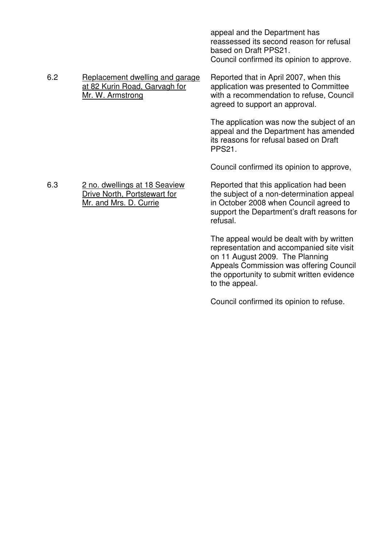|     |                                                                                         | appeal and the Department has<br>reassessed its second reason for refusal<br>based on Draft PPS21.<br>Council confirmed its opinion to approve.                                          |
|-----|-----------------------------------------------------------------------------------------|------------------------------------------------------------------------------------------------------------------------------------------------------------------------------------------|
| 6.2 | Replacement dwelling and garage<br>at 82 Kurin Road, Garvagh for<br>Mr. W. Armstrong    | Reported that in April 2007, when this<br>application was presented to Committee<br>with a recommendation to refuse, Council<br>agreed to support an approval.                           |
|     |                                                                                         | The application was now the subject of an<br>appeal and the Department has amended<br>its reasons for refusal based on Draft<br><b>PPS21.</b>                                            |
|     |                                                                                         | Council confirmed its opinion to approve,                                                                                                                                                |
| 6.3 | 2 no. dwellings at 18 Seaview<br>Drive North, Portstewart for<br>Mr. and Mrs. D. Currie | Reported that this application had been<br>the subject of a non-determination appeal<br>in October 2008 when Council agreed to<br>support the Department's draft reasons for<br>refusal. |
|     |                                                                                         | The appeal would be dealt with by written<br>representation and accompanied site visit<br>on 11 August 2009. The Planning<br>Appeals Commission was offering Council                     |

Council confirmed its opinion to refuse.

to the appeal.

the opportunity to submit written evidence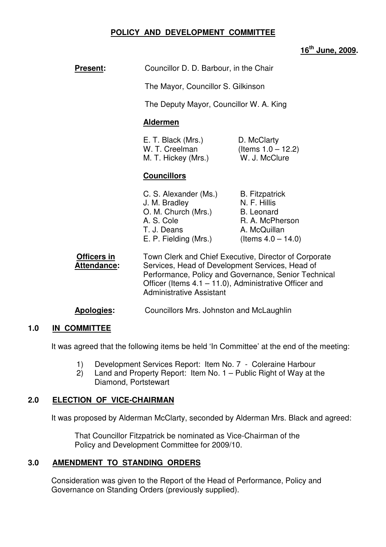# **POLICY AND DEVELOPMENT COMMITTEE**

# **16th June, 2009.**

| <b>Present:</b>            | Councillor D. D. Barbour, in the Chair                                                                                                                                                                                                                           |                                                                                                                        |  |
|----------------------------|------------------------------------------------------------------------------------------------------------------------------------------------------------------------------------------------------------------------------------------------------------------|------------------------------------------------------------------------------------------------------------------------|--|
|                            | The Mayor, Councillor S. Gilkinson                                                                                                                                                                                                                               |                                                                                                                        |  |
|                            | The Deputy Mayor, Councillor W. A. King                                                                                                                                                                                                                          |                                                                                                                        |  |
|                            | <b>Aldermen</b>                                                                                                                                                                                                                                                  |                                                                                                                        |  |
|                            | E. T. Black (Mrs.)<br>D. McClarty<br>W. T. Creelman<br>(Items $1.0 - 12.2$ )<br>W. J. McClure<br>M. T. Hickey (Mrs.)<br><b>Councillors</b>                                                                                                                       |                                                                                                                        |  |
|                            |                                                                                                                                                                                                                                                                  |                                                                                                                        |  |
|                            | C. S. Alexander (Ms.)<br>J. M. Bradley<br>O. M. Church (Mrs.)<br>A. S. Cole<br>T. J. Deans<br>E. P. Fielding (Mrs.)                                                                                                                                              | <b>B.</b> Fitzpatrick<br>N. F. Hillis<br><b>B.</b> Leonard<br>R. A. McPherson<br>A. McQuillan<br>(Items $4.0 - 14.0$ ) |  |
| Officers in<br>Attendance: | Town Clerk and Chief Executive, Director of Corporate<br>Services, Head of Development Services, Head of<br>Performance, Policy and Governance, Senior Technical<br>Officer (Items $4.1 - 11.0$ ), Administrative Officer and<br><b>Administrative Assistant</b> |                                                                                                                        |  |

**Apologies:** Councillors Mrs. Johnston and McLaughlin

#### **1.0 IN COMMITTEE**

It was agreed that the following items be held 'In Committee' at the end of the meeting:

- 1) Development Services Report: Item No. 7 Coleraine Harbour
- 2) Land and Property Report: Item No. 1 Public Right of Way at the Diamond, Portstewart

### **2.0 ELECTION OF VICE-CHAIRMAN**

It was proposed by Alderman McClarty, seconded by Alderman Mrs. Black and agreed:

 That Councillor Fitzpatrick be nominated as Vice-Chairman of the Policy and Development Committee for 2009/10.

### **3.0 AMENDMENT TO STANDING ORDERS**

Consideration was given to the Report of the Head of Performance, Policy and Governance on Standing Orders (previously supplied).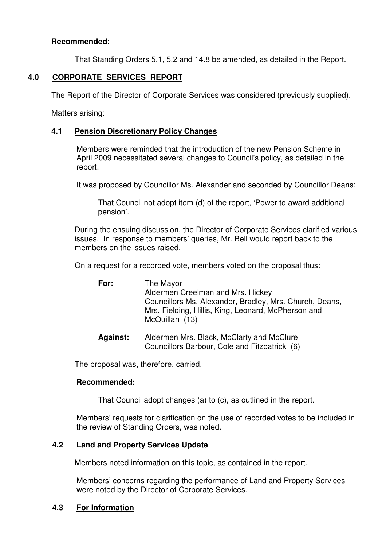## **Recommended:**

That Standing Orders 5.1, 5.2 and 14.8 be amended, as detailed in the Report.

### **4.0 CORPORATE SERVICES REPORT**

The Report of the Director of Corporate Services was considered (previously supplied).

Matters arising:

### **4.1 Pension Discretionary Policy Changes**

Members were reminded that the introduction of the new Pension Scheme in April 2009 necessitated several changes to Council's policy, as detailed in the report.

It was proposed by Councillor Ms. Alexander and seconded by Councillor Deans:

 That Council not adopt item (d) of the report, 'Power to award additional pension'.

During the ensuing discussion, the Director of Corporate Services clarified various issues. In response to members' queries, Mr. Bell would report back to the members on the issues raised.

On a request for a recorded vote, members voted on the proposal thus:

| For: | The Mayor<br>Aldermen Creelman and Mrs. Hickey<br>Councillors Ms. Alexander, Bradley, Mrs. Church, Deans,<br>Mrs. Fielding, Hillis, King, Leonard, McPherson and<br>McQuillan (13) |
|------|------------------------------------------------------------------------------------------------------------------------------------------------------------------------------------|
|      |                                                                                                                                                                                    |

Against: Aldermen Mrs. Black, McClarty and McClure Councillors Barbour, Cole and Fitzpatrick (6)

The proposal was, therefore, carried.

#### **Recommended:**

That Council adopt changes (a) to (c), as outlined in the report.

Members' requests for clarification on the use of recorded votes to be included in the review of Standing Orders, was noted.

## **4.2 Land and Property Services Update**

Members noted information on this topic, as contained in the report.

Members' concerns regarding the performance of Land and Property Services were noted by the Director of Corporate Services.

### **4.3 For Information**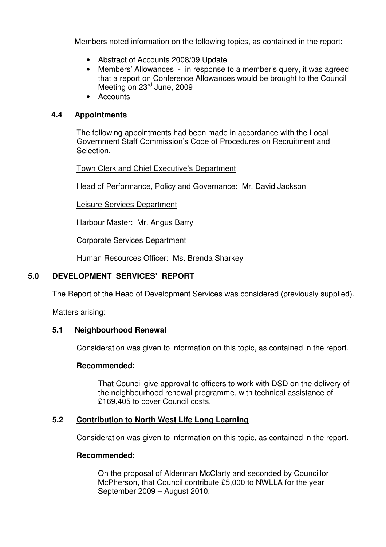Members noted information on the following topics, as contained in the report:

- Abstract of Accounts 2008/09 Update
- Members' Allowances in response to a member's query, it was agreed that a report on Conference Allowances would be brought to the Council Meeting on 23<sup>rd</sup> June, 2009
- Accounts

### **4.4 Appointments**

The following appointments had been made in accordance with the Local Government Staff Commission's Code of Procedures on Recruitment and Selection.

Town Clerk and Chief Executive's Department

Head of Performance, Policy and Governance: Mr. David Jackson

Leisure Services Department

Harbour Master: Mr. Angus Barry

Corporate Services Department

Human Resources Officer: Ms. Brenda Sharkey

# **5.0 DEVELOPMENT SERVICES' REPORT**

The Report of the Head of Development Services was considered (previously supplied).

Matters arising:

### **5.1 Neighbourhood Renewal**

Consideration was given to information on this topic, as contained in the report.

### **Recommended:**

 That Council give approval to officers to work with DSD on the delivery of the neighbourhood renewal programme, with technical assistance of £169,405 to cover Council costs.

# **5.2 Contribution to North West Life Long Learning**

Consideration was given to information on this topic, as contained in the report.

### **Recommended:**

On the proposal of Alderman McClarty and seconded by Councillor McPherson, that Council contribute £5,000 to NWLLA for the year September 2009 – August 2010.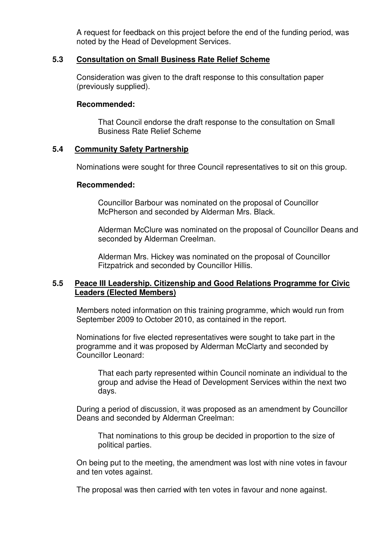A request for feedback on this project before the end of the funding period, was noted by the Head of Development Services.

### **5.3 Consultation on Small Business Rate Relief Scheme**

Consideration was given to the draft response to this consultation paper (previously supplied).

### **Recommended:**

That Council endorse the draft response to the consultation on Small Business Rate Relief Scheme

### **5.4 Community Safety Partnership**

Nominations were sought for three Council representatives to sit on this group.

### **Recommended:**

Councillor Barbour was nominated on the proposal of Councillor McPherson and seconded by Alderman Mrs. Black.

Alderman McClure was nominated on the proposal of Councillor Deans and seconded by Alderman Creelman.

Alderman Mrs. Hickey was nominated on the proposal of Councillor Fitzpatrick and seconded by Councillor Hillis.

### **5.5 Peace III Leadership. Citizenship and Good Relations Programme for Civic Leaders (Elected Members)**

Members noted information on this training programme, which would run from September 2009 to October 2010, as contained in the report.

Nominations for five elected representatives were sought to take part in the programme and it was proposed by Alderman McClarty and seconded by Councillor Leonard:

 That each party represented within Council nominate an individual to the group and advise the Head of Development Services within the next two days.

During a period of discussion, it was proposed as an amendment by Councillor Deans and seconded by Alderman Creelman:

 That nominations to this group be decided in proportion to the size of political parties.

On being put to the meeting, the amendment was lost with nine votes in favour and ten votes against.

The proposal was then carried with ten votes in favour and none against.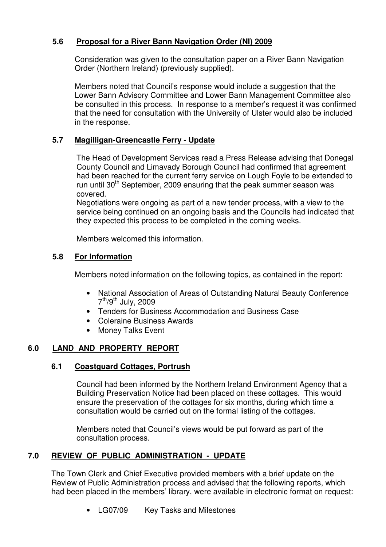# **5.6 Proposal for a River Bann Navigation Order (NI) 2009**

Consideration was given to the consultation paper on a River Bann Navigation Order (Northern Ireland) (previously supplied).

Members noted that Council's response would include a suggestion that the Lower Bann Advisory Committee and Lower Bann Management Committee also be consulted in this process. In response to a member's request it was confirmed that the need for consultation with the University of Ulster would also be included in the response.

# **5.7 Magilligan-Greencastle Ferry - Update**

The Head of Development Services read a Press Release advising that Donegal County Council and Limavady Borough Council had confirmed that agreement had been reached for the current ferry service on Lough Foyle to be extended to run until  $30<sup>th</sup>$  September, 2009 ensuring that the peak summer season was covered.

Negotiations were ongoing as part of a new tender process, with a view to the service being continued on an ongoing basis and the Councils had indicated that they expected this process to be completed in the coming weeks.

Members welcomed this information.

# **5.8 For Information**

Members noted information on the following topics, as contained in the report:

- National Association of Areas of Outstanding Natural Beauty Conference 7<sup>th</sup>/9<sup>th</sup> July, 2009
- Tenders for Business Accommodation and Business Case
- Coleraine Business Awards
- Money Talks Event

# **6.0 LAND AND PROPERTY REPORT**

# **6.1 Coastguard Cottages, Portrush**

Council had been informed by the Northern Ireland Environment Agency that a Building Preservation Notice had been placed on these cottages. This would ensure the preservation of the cottages for six months, during which time a consultation would be carried out on the formal listing of the cottages.

Members noted that Council's views would be put forward as part of the consultation process.

# **7.0 REVIEW OF PUBLIC ADMINISTRATION - UPDATE**

The Town Clerk and Chief Executive provided members with a brief update on the Review of Public Administration process and advised that the following reports, which had been placed in the members' library, were available in electronic format on request:

• LG07/09 Key Tasks and Milestones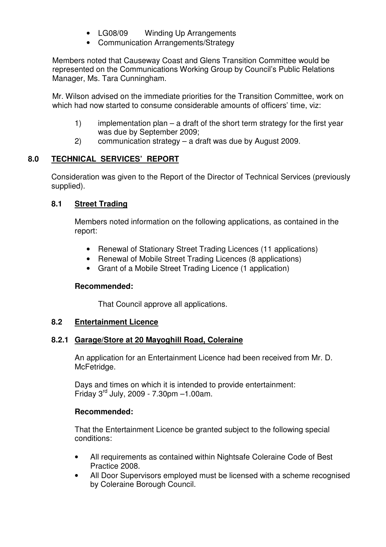- LG08/09 Winding Up Arrangements
- Communication Arrangements/Strategy

Members noted that Causeway Coast and Glens Transition Committee would be represented on the Communications Working Group by Council's Public Relations Manager, Ms. Tara Cunningham.

Mr. Wilson advised on the immediate priorities for the Transition Committee, work on which had now started to consume considerable amounts of officers' time, viz:

- 1) implementation plan a draft of the short term strategy for the first year was due by September 2009;
- 2) communication strategy a draft was due by August 2009.

# **8.0 TECHNICAL SERVICES' REPORT**

Consideration was given to the Report of the Director of Technical Services (previously supplied).

# **8.1 Street Trading**

Members noted information on the following applications, as contained in the report:

- Renewal of Stationary Street Trading Licences (11 applications)
- Renewal of Mobile Street Trading Licences (8 applications)
- Grant of a Mobile Street Trading Licence (1 application)

# **Recommended:**

That Council approve all applications.

# **8.2 Entertainment Licence**

# **8.2.1 Garage/Store at 20 Mayoghill Road, Coleraine**

 An application for an Entertainment Licence had been received from Mr. D. McFetridge.

 Days and times on which it is intended to provide entertainment: Friday 3rd July, 2009 - 7.30pm –1.00am.

# **Recommended:**

 That the Entertainment Licence be granted subject to the following special conditions:

- All requirements as contained within Nightsafe Coleraine Code of Best Practice 2008.
- All Door Supervisors employed must be licensed with a scheme recognised by Coleraine Borough Council.